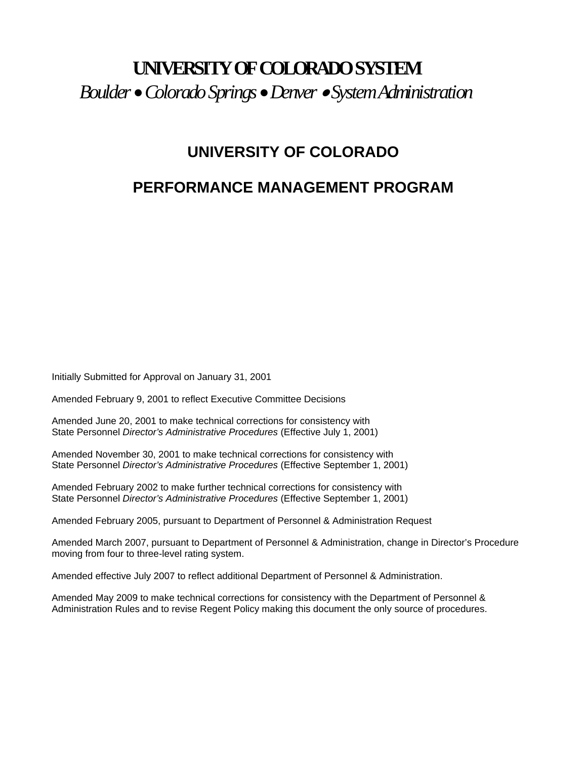# **UNIVERSITY OF COLORADO SYSTEM**  *Boulder* •*Colorado Springs* •*Denver* • *System Administration*

## **UNIVERSITY OF COLORADO**

## **PERFORMANCE MANAGEMENT PROGRAM**

Initially Submitted for Approval on January 31, 2001

Amended February 9, 2001 to reflect Executive Committee Decisions

Amended June 20, 2001 to make technical corrections for consistency with State Personnel *Director's Administrative Procedures* (Effective July 1, 2001)

Amended November 30, 2001 to make technical corrections for consistency with State Personnel *Director's Administrative Procedures* (Effective September 1, 2001)

Amended February 2002 to make further technical corrections for consistency with State Personnel *Director's Administrative Procedures* (Effective September 1, 2001)

Amended February 2005, pursuant to Department of Personnel & Administration Request

Amended March 2007, pursuant to Department of Personnel & Administration, change in Director's Procedure moving from four to three-level rating system.

Amended effective July 2007 to reflect additional Department of Personnel & Administration.

Amended May 2009 to make technical corrections for consistency with the Department of Personnel & Administration Rules and to revise Regent Policy making this document the only source of procedures.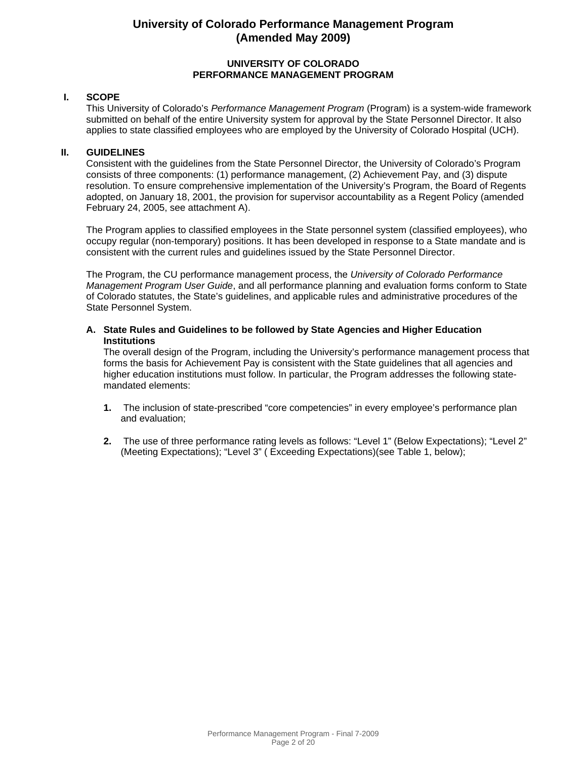#### **UNIVERSITY OF COLORADO PERFORMANCE MANAGEMENT PROGRAM**

#### **I. SCOPE**

This University of Colorado's *Performance Management Program* (Program) is a system-wide framework submitted on behalf of the entire University system for approval by the State Personnel Director. It also applies to state classified employees who are employed by the University of Colorado Hospital (UCH).

#### **II. GUIDELINES**

Consistent with the guidelines from the State Personnel Director, the University of Colorado's Program consists of three components: (1) performance management, (2) Achievement Pay, and (3) dispute resolution. To ensure comprehensive implementation of the University's Program, the Board of Regents adopted, on January 18, 2001, the provision for supervisor accountability as a Regent Policy (amended February 24, 2005, see attachment A).

The Program applies to classified employees in the State personnel system (classified employees), who occupy regular (non-temporary) positions. It has been developed in response to a State mandate and is consistent with the current rules and guidelines issued by the State Personnel Director.

The Program, the CU performance management process, the *University of Colorado Performance Management Program User Guide*, and all performance planning and evaluation forms conform to State of Colorado statutes, the State's guidelines, and applicable rules and administrative procedures of the State Personnel System.

**A. State Rules and Guidelines to be followed by State Agencies and Higher Education Institutions**

The overall design of the Program, including the University's performance management process that forms the basis for Achievement Pay is consistent with the State guidelines that all agencies and higher education institutions must follow. In particular, the Program addresses the following statemandated elements:

- **1.** The inclusion of state-prescribed "core competencies" in every employee's performance plan and evaluation;
- **2.** The use of three performance rating levels as follows: "Level 1" (Below Expectations); "Level 2" (Meeting Expectations); "Level 3" ( Exceeding Expectations)(see Table 1, below);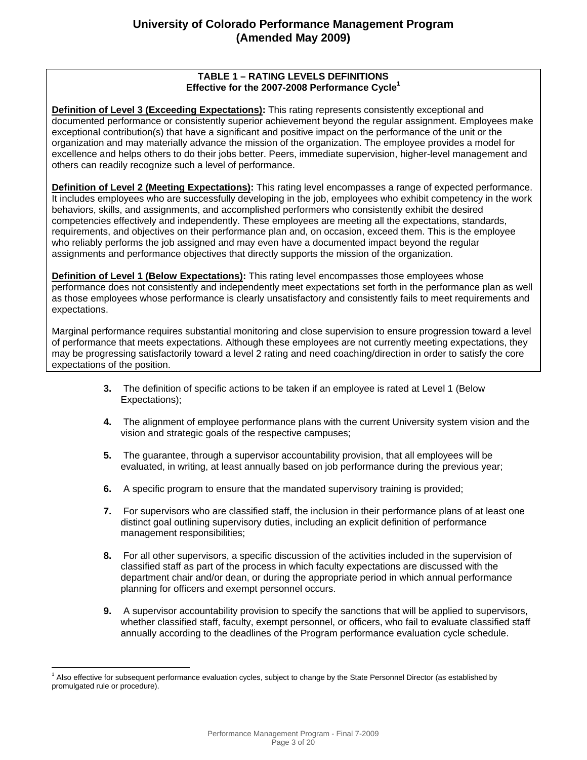#### **TABLE 1 – RATING LEVELS DEFINITIONS Effective for the 2007-2008 Performance Cycle<sup>1</sup>**

**Definition of Level 3 (Exceeding Expectations):** This rating represents consistently exceptional and documented performance or consistently superior achievement beyond the regular assignment. Employees make exceptional contribution(s) that have a significant and positive impact on the performance of the unit or the organization and may materially advance the mission of the organization. The employee provides a model for excellence and helps others to do their jobs better. Peers, immediate supervision, higher-level management and others can readily recognize such a level of performance.

**Definition of Level 2 (Meeting Expectations):** This rating level encompasses a range of expected performance. It includes employees who are successfully developing in the job, employees who exhibit competency in the work behaviors, skills, and assignments, and accomplished performers who consistently exhibit the desired competencies effectively and independently. These employees are meeting all the expectations, standards, requirements, and objectives on their performance plan and, on occasion, exceed them. This is the employee who reliably performs the job assigned and may even have a documented impact beyond the regular assignments and performance objectives that directly supports the mission of the organization.

**Definition of Level 1 (Below Expectations):** This rating level encompasses those employees whose performance does not consistently and independently meet expectations set forth in the performance plan as well as those employees whose performance is clearly unsatisfactory and consistently fails to meet requirements and expectations.

Marginal performance requires substantial monitoring and close supervision to ensure progression toward a level of performance that meets expectations. Although these employees are not currently meeting expectations, they may be progressing satisfactorily toward a level 2 rating and need coaching/direction in order to satisfy the core expectations of the position.

- **3.** The definition of specific actions to be taken if an employee is rated at Level 1 (Below Expectations);
- **4.** The alignment of employee performance plans with the current University system vision and the vision and strategic goals of the respective campuses;
- **5.** The guarantee, through a supervisor accountability provision, that all employees will be evaluated, in writing, at least annually based on job performance during the previous year;
- **6.** A specific program to ensure that the mandated supervisory training is provided;
- **7.** For supervisors who are classified staff, the inclusion in their performance plans of at least one distinct goal outlining supervisory duties, including an explicit definition of performance management responsibilities;
- **8.** For all other supervisors, a specific discussion of the activities included in the supervision of classified staff as part of the process in which faculty expectations are discussed with the department chair and/or dean, or during the appropriate period in which annual performance planning for officers and exempt personnel occurs.
- **9.** A supervisor accountability provision to specify the sanctions that will be applied to supervisors, whether classified staff, faculty, exempt personnel, or officers, who fail to evaluate classified staff annually according to the deadlines of the Program performance evaluation cycle schedule.

 $\overline{a}$ <sup>1</sup> Also effective for subsequent performance evaluation cycles, subject to change by the State Personnel Director (as established by promulgated rule or procedure).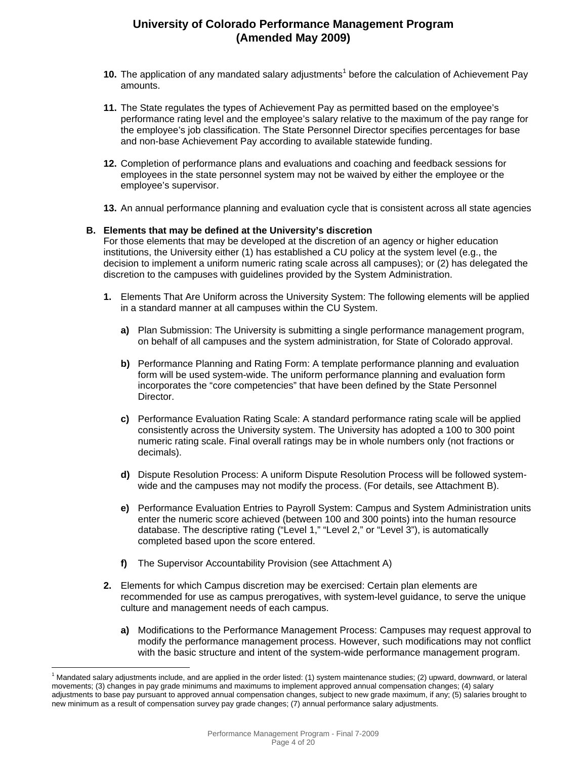- 10. The application of any mandated salary adjustments<sup>1</sup> before the calculation of Achievement Pay amounts.
- **11.** The State regulates the types of Achievement Pay as permitted based on the employee's performance rating level and the employee's salary relative to the maximum of the pay range for the employee's job classification. The State Personnel Director specifies percentages for base and non-base Achievement Pay according to available statewide funding.
- **12.** Completion of performance plans and evaluations and coaching and feedback sessions for employees in the state personnel system may not be waived by either the employee or the employee's supervisor.
- **13.** An annual performance planning and evaluation cycle that is consistent across all state agencies

#### **B. Elements that may be defined at the University's discretion**

For those elements that may be developed at the discretion of an agency or higher education institutions, the University either (1) has established a CU policy at the system level (e.g., the decision to implement a uniform numeric rating scale across all campuses); or (2) has delegated the discretion to the campuses with guidelines provided by the System Administration.

- **1.** Elements That Are Uniform across the University System: The following elements will be applied in a standard manner at all campuses within the CU System.
	- **a)** Plan Submission: The University is submitting a single performance management program, on behalf of all campuses and the system administration, for State of Colorado approval.
	- **b)** Performance Planning and Rating Form: A template performance planning and evaluation form will be used system-wide. The uniform performance planning and evaluation form incorporates the "core competencies" that have been defined by the State Personnel Director.
	- **c)** Performance Evaluation Rating Scale: A standard performance rating scale will be applied consistently across the University system. The University has adopted a 100 to 300 point numeric rating scale. Final overall ratings may be in whole numbers only (not fractions or decimals).
	- **d)** Dispute Resolution Process: A uniform Dispute Resolution Process will be followed systemwide and the campuses may not modify the process. (For details, see Attachment B).
	- **e)** Performance Evaluation Entries to Payroll System: Campus and System Administration units enter the numeric score achieved (between 100 and 300 points) into the human resource database. The descriptive rating ("Level 1," "Level 2," or "Level 3"), is automatically completed based upon the score entered.
	- **f)** The Supervisor Accountability Provision (see Attachment A)

 $\overline{a}$ 

- **2.** Elements for which Campus discretion may be exercised: Certain plan elements are recommended for use as campus prerogatives, with system-level guidance, to serve the unique culture and management needs of each campus.
	- **a)** Modifications to the Performance Management Process: Campuses may request approval to modify the performance management process. However, such modifications may not conflict with the basic structure and intent of the system-wide performance management program.

<sup>&</sup>lt;sup>1</sup> Mandated salary adjustments include, and are applied in the order listed: (1) system maintenance studies; (2) upward, downward, or lateral movements; (3) changes in pay grade minimums and maximums to implement approved annual compensation changes; (4) salary adjustments to base pay pursuant to approved annual compensation changes, subject to new grade maximum, if any; (5) salaries brought to new minimum as a result of compensation survey pay grade changes; (7) annual performance salary adjustments.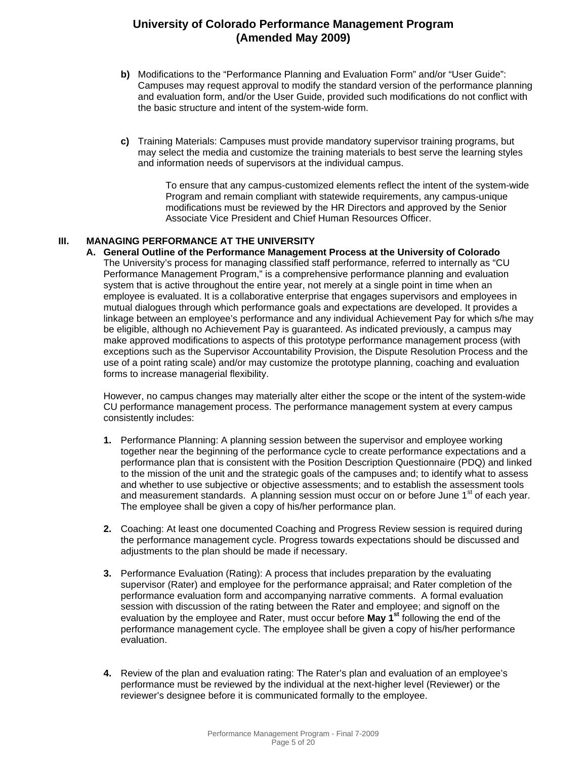- **b)** Modifications to the "Performance Planning and Evaluation Form" and/or "User Guide": Campuses may request approval to modify the standard version of the performance planning and evaluation form, and/or the User Guide, provided such modifications do not conflict with the basic structure and intent of the system-wide form.
- **c)** Training Materials: Campuses must provide mandatory supervisor training programs, but may select the media and customize the training materials to best serve the learning styles and information needs of supervisors at the individual campus.

To ensure that any campus-customized elements reflect the intent of the system-wide Program and remain compliant with statewide requirements, any campus-unique modifications must be reviewed by the HR Directors and approved by the Senior Associate Vice President and Chief Human Resources Officer.

#### **III. MANAGING PERFORMANCE AT THE UNIVERSITY**

**A. General Outline of the Performance Management Process at the University of Colorado** The University's process for managing classified staff performance, referred to internally as "CU Performance Management Program," is a comprehensive performance planning and evaluation system that is active throughout the entire year, not merely at a single point in time when an employee is evaluated. It is a collaborative enterprise that engages supervisors and employees in mutual dialogues through which performance goals and expectations are developed. It provides a linkage between an employee's performance and any individual Achievement Pay for which s/he may be eligible, although no Achievement Pay is guaranteed. As indicated previously, a campus may make approved modifications to aspects of this prototype performance management process (with exceptions such as the Supervisor Accountability Provision, the Dispute Resolution Process and the use of a point rating scale) and/or may customize the prototype planning, coaching and evaluation forms to increase managerial flexibility.

However, no campus changes may materially alter either the scope or the intent of the system-wide CU performance management process. The performance management system at every campus consistently includes:

- **1.** Performance Planning: A planning session between the supervisor and employee working together near the beginning of the performance cycle to create performance expectations and a performance plan that is consistent with the Position Description Questionnaire (PDQ) and linked to the mission of the unit and the strategic goals of the campuses and; to identify what to assess and whether to use subjective or objective assessments; and to establish the assessment tools and measurement standards. A planning session must occur on or before June 1<sup>st</sup> of each year. The employee shall be given a copy of his/her performance plan.
- **2.** Coaching: At least one documented Coaching and Progress Review session is required during the performance management cycle. Progress towards expectations should be discussed and adjustments to the plan should be made if necessary.
- **3.** Performance Evaluation (Rating): A process that includes preparation by the evaluating supervisor (Rater) and employee for the performance appraisal; and Rater completion of the performance evaluation form and accompanying narrative comments. A formal evaluation session with discussion of the rating between the Rater and employee; and signoff on the evaluation by the employee and Rater, must occur before **May 1st** following the end of the performance management cycle. The employee shall be given a copy of his/her performance evaluation.
- **4.** Review of the plan and evaluation rating: The Rater's plan and evaluation of an employee's performance must be reviewed by the individual at the next-higher level (Reviewer) or the reviewer's designee before it is communicated formally to the employee.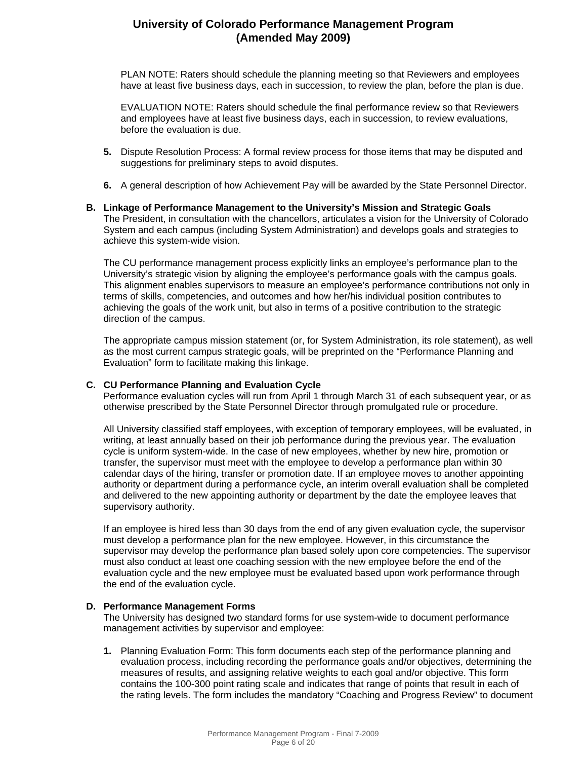PLAN NOTE: Raters should schedule the planning meeting so that Reviewers and employees have at least five business days, each in succession, to review the plan, before the plan is due.

EVALUATION NOTE: Raters should schedule the final performance review so that Reviewers and employees have at least five business days, each in succession, to review evaluations, before the evaluation is due.

- **5.** Dispute Resolution Process: A formal review process for those items that may be disputed and suggestions for preliminary steps to avoid disputes.
- **6.** A general description of how Achievement Pay will be awarded by the State Personnel Director.
- **B. Linkage of Performance Management to the University's Mission and Strategic Goals** The President, in consultation with the chancellors, articulates a vision for the University of Colorado System and each campus (including System Administration) and develops goals and strategies to achieve this system-wide vision.

The CU performance management process explicitly links an employee's performance plan to the University's strategic vision by aligning the employee's performance goals with the campus goals. This alignment enables supervisors to measure an employee's performance contributions not only in terms of skills, competencies, and outcomes and how her/his individual position contributes to achieving the goals of the work unit, but also in terms of a positive contribution to the strategic direction of the campus.

The appropriate campus mission statement (or, for System Administration, its role statement), as well as the most current campus strategic goals, will be preprinted on the "Performance Planning and Evaluation" form to facilitate making this linkage.

#### **C. CU Performance Planning and Evaluation Cycle**

Performance evaluation cycles will run from April 1 through March 31 of each subsequent year, or as otherwise prescribed by the State Personnel Director through promulgated rule or procedure.

All University classified staff employees, with exception of temporary employees, will be evaluated, in writing, at least annually based on their job performance during the previous year. The evaluation cycle is uniform system-wide. In the case of new employees, whether by new hire, promotion or transfer, the supervisor must meet with the employee to develop a performance plan within 30 calendar days of the hiring, transfer or promotion date. If an employee moves to another appointing authority or department during a performance cycle, an interim overall evaluation shall be completed and delivered to the new appointing authority or department by the date the employee leaves that supervisory authority.

If an employee is hired less than 30 days from the end of any given evaluation cycle, the supervisor must develop a performance plan for the new employee. However, in this circumstance the supervisor may develop the performance plan based solely upon core competencies. The supervisor must also conduct at least one coaching session with the new employee before the end of the evaluation cycle and the new employee must be evaluated based upon work performance through the end of the evaluation cycle.

#### **D. Performance Management Forms**

The University has designed two standard forms for use system-wide to document performance management activities by supervisor and employee:

**1.** Planning Evaluation Form: This form documents each step of the performance planning and evaluation process, including recording the performance goals and/or objectives, determining the measures of results, and assigning relative weights to each goal and/or objective. This form contains the 100-300 point rating scale and indicates that range of points that result in each of the rating levels. The form includes the mandatory "Coaching and Progress Review" to document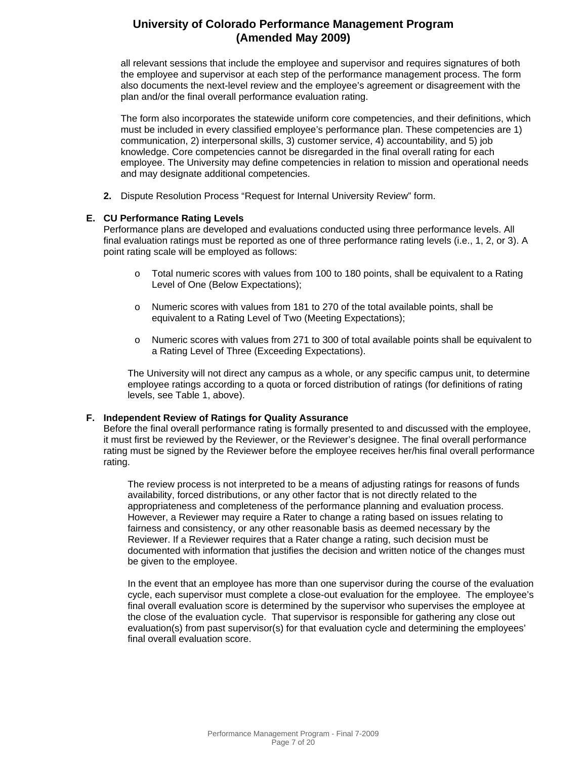all relevant sessions that include the employee and supervisor and requires signatures of both the employee and supervisor at each step of the performance management process. The form also documents the next-level review and the employee's agreement or disagreement with the plan and/or the final overall performance evaluation rating.

The form also incorporates the statewide uniform core competencies, and their definitions, which must be included in every classified employee's performance plan. These competencies are 1) communication, 2) interpersonal skills, 3) customer service, 4) accountability, and 5) job knowledge. Core competencies cannot be disregarded in the final overall rating for each employee. The University may define competencies in relation to mission and operational needs and may designate additional competencies.

**2.** Dispute Resolution Process "Request for Internal University Review" form.

#### **E. CU Performance Rating Levels**

Performance plans are developed and evaluations conducted using three performance levels. All final evaluation ratings must be reported as one of three performance rating levels (i.e., 1, 2, or 3). A point rating scale will be employed as follows:

- o Total numeric scores with values from 100 to 180 points, shall be equivalent to a Rating Level of One (Below Expectations);
- o Numeric scores with values from 181 to 270 of the total available points, shall be equivalent to a Rating Level of Two (Meeting Expectations);
- o Numeric scores with values from 271 to 300 of total available points shall be equivalent to a Rating Level of Three (Exceeding Expectations).

The University will not direct any campus as a whole, or any specific campus unit, to determine employee ratings according to a quota or forced distribution of ratings (for definitions of rating levels, see Table 1, above).

#### **F. Independent Review of Ratings for Quality Assurance**

Before the final overall performance rating is formally presented to and discussed with the employee, it must first be reviewed by the Reviewer, or the Reviewer's designee. The final overall performance rating must be signed by the Reviewer before the employee receives her/his final overall performance rating.

The review process is not interpreted to be a means of adjusting ratings for reasons of funds availability, forced distributions, or any other factor that is not directly related to the appropriateness and completeness of the performance planning and evaluation process. However, a Reviewer may require a Rater to change a rating based on issues relating to fairness and consistency, or any other reasonable basis as deemed necessary by the Reviewer. If a Reviewer requires that a Rater change a rating, such decision must be documented with information that justifies the decision and written notice of the changes must be given to the employee.

In the event that an employee has more than one supervisor during the course of the evaluation cycle, each supervisor must complete a close-out evaluation for the employee. The employee's final overall evaluation score is determined by the supervisor who supervises the employee at the close of the evaluation cycle. That supervisor is responsible for gathering any close out evaluation(s) from past supervisor(s) for that evaluation cycle and determining the employees' final overall evaluation score.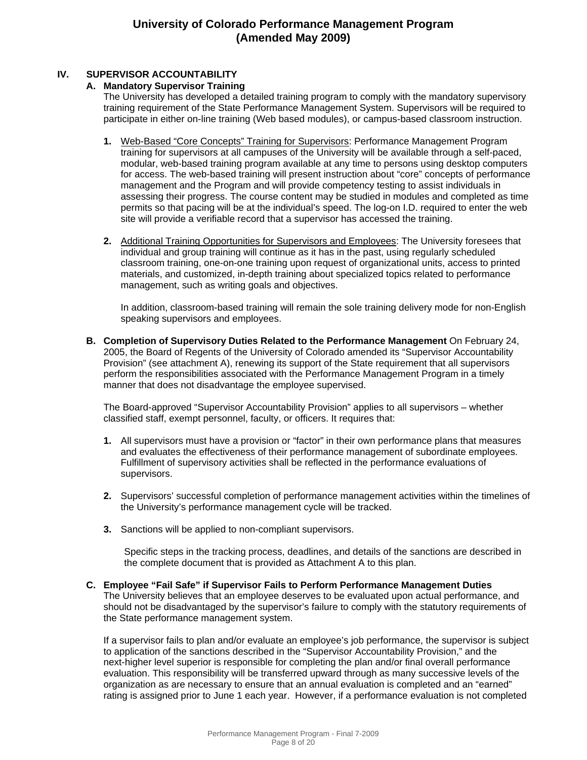#### **IV. SUPERVISOR ACCOUNTABILITY**

#### **A. Mandatory Supervisor Training**

The University has developed a detailed training program to comply with the mandatory supervisory training requirement of the State Performance Management System. Supervisors will be required to participate in either on-line training (Web based modules), or campus-based classroom instruction.

- **1.** Web-Based "Core Concepts" Training for Supervisors: Performance Management Program training for supervisors at all campuses of the University will be available through a self-paced, modular, web-based training program available at any time to persons using desktop computers for access. The web-based training will present instruction about "core" concepts of performance management and the Program and will provide competency testing to assist individuals in assessing their progress. The course content may be studied in modules and completed as time permits so that pacing will be at the individual's speed. The log-on I.D. required to enter the web site will provide a verifiable record that a supervisor has accessed the training.
- **2.** Additional Training Opportunities for Supervisors and Employees: The University foresees that individual and group training will continue as it has in the past, using regularly scheduled classroom training, one-on-one training upon request of organizational units, access to printed materials, and customized, in-depth training about specialized topics related to performance management, such as writing goals and objectives.

In addition, classroom-based training will remain the sole training delivery mode for non-English speaking supervisors and employees.

**B. Completion of Supervisory Duties Related to the Performance Management** On February 24, 2005, the Board of Regents of the University of Colorado amended its "Supervisor Accountability Provision" (see attachment A), renewing its support of the State requirement that all supervisors perform the responsibilities associated with the Performance Management Program in a timely manner that does not disadvantage the employee supervised.

The Board-approved "Supervisor Accountability Provision" applies to all supervisors – whether classified staff, exempt personnel, faculty, or officers. It requires that:

- **1.** All supervisors must have a provision or "factor" in their own performance plans that measures and evaluates the effectiveness of their performance management of subordinate employees. Fulfillment of supervisory activities shall be reflected in the performance evaluations of supervisors.
- **2.** Supervisors' successful completion of performance management activities within the timelines of the University's performance management cycle will be tracked.
- **3.** Sanctions will be applied to non-compliant supervisors.

Specific steps in the tracking process, deadlines, and details of the sanctions are described in the complete document that is provided as Attachment A to this plan.

#### **C. Employee "Fail Safe" if Supervisor Fails to Perform Performance Management Duties** The University believes that an employee deserves to be evaluated upon actual performance, and should not be disadvantaged by the supervisor's failure to comply with the statutory requirements of the State performance management system.

If a supervisor fails to plan and/or evaluate an employee's job performance, the supervisor is subject to application of the sanctions described in the "Supervisor Accountability Provision," and the next-higher level superior is responsible for completing the plan and/or final overall performance evaluation. This responsibility will be transferred upward through as many successive levels of the organization as are necessary to ensure that an annual evaluation is completed and an "earned" rating is assigned prior to June 1 each year. However, if a performance evaluation is not completed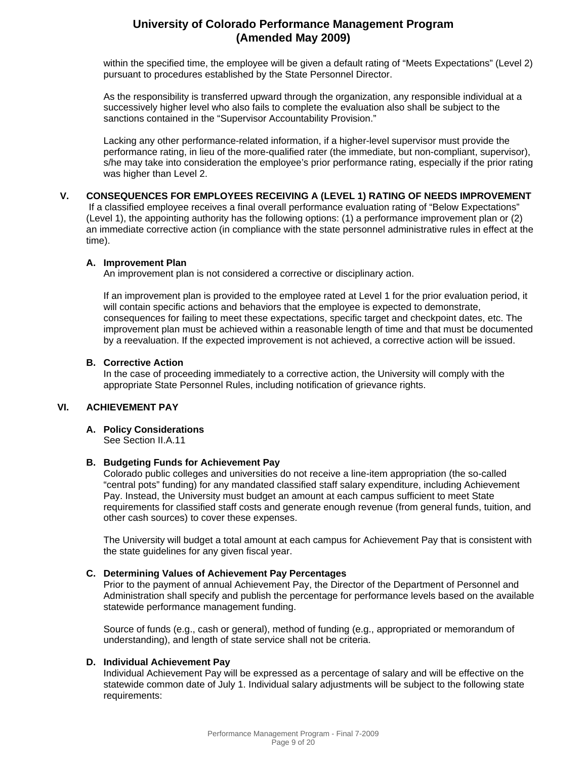within the specified time, the employee will be given a default rating of "Meets Expectations" (Level 2) pursuant to procedures established by the State Personnel Director.

As the responsibility is transferred upward through the organization, any responsible individual at a successively higher level who also fails to complete the evaluation also shall be subject to the sanctions contained in the "Supervisor Accountability Provision."

Lacking any other performance-related information, if a higher-level supervisor must provide the performance rating, in lieu of the more-qualified rater (the immediate, but non-compliant, supervisor), s/he may take into consideration the employee's prior performance rating, especially if the prior rating was higher than Level 2.

#### **V. CONSEQUENCES FOR EMPLOYEES RECEIVING A (LEVEL 1) RATING OF NEEDS IMPROVEMENT**

If a classified employee receives a final overall performance evaluation rating of "Below Expectations" (Level 1), the appointing authority has the following options: (1) a performance improvement plan or (2) an immediate corrective action (in compliance with the state personnel administrative rules in effect at the time).

#### **A. Improvement Plan**

An improvement plan is not considered a corrective or disciplinary action.

If an improvement plan is provided to the employee rated at Level 1 for the prior evaluation period, it will contain specific actions and behaviors that the employee is expected to demonstrate, consequences for failing to meet these expectations, specific target and checkpoint dates, etc. The improvement plan must be achieved within a reasonable length of time and that must be documented by a reevaluation. If the expected improvement is not achieved, a corrective action will be issued.

#### **B. Corrective Action**

In the case of proceeding immediately to a corrective action, the University will comply with the appropriate State Personnel Rules, including notification of grievance rights.

#### **VI. ACHIEVEMENT PAY**

#### **A. Policy Considerations**

See Section II.A.11

#### **B. Budgeting Funds for Achievement Pay**

Colorado public colleges and universities do not receive a line-item appropriation (the so-called "central pots" funding) for any mandated classified staff salary expenditure, including Achievement Pay. Instead, the University must budget an amount at each campus sufficient to meet State requirements for classified staff costs and generate enough revenue (from general funds, tuition, and other cash sources) to cover these expenses.

The University will budget a total amount at each campus for Achievement Pay that is consistent with the state guidelines for any given fiscal year.

#### **C. Determining Values of Achievement Pay Percentages**

Prior to the payment of annual Achievement Pay, the Director of the Department of Personnel and Administration shall specify and publish the percentage for performance levels based on the available statewide performance management funding.

Source of funds (e.g., cash or general), method of funding (e.g., appropriated or memorandum of understanding), and length of state service shall not be criteria.

#### **D. Individual Achievement Pay**

Individual Achievement Pay will be expressed as a percentage of salary and will be effective on the statewide common date of July 1. Individual salary adjustments will be subject to the following state requirements: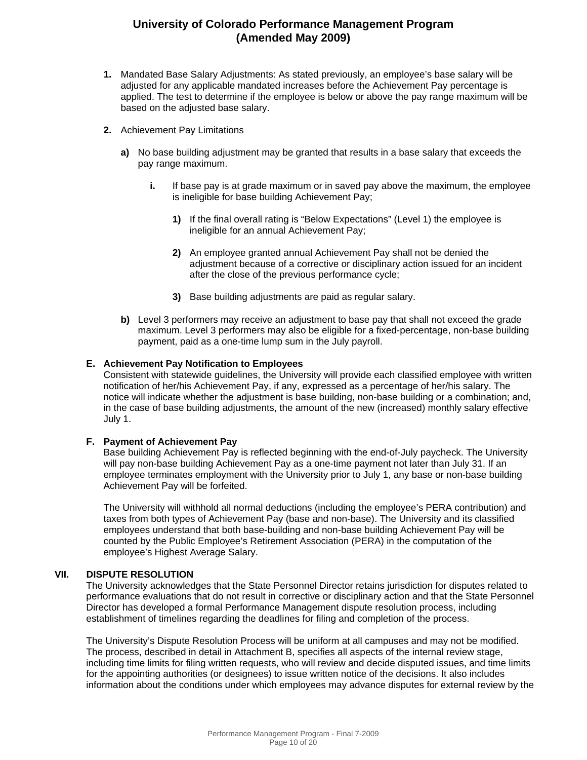- **1.** Mandated Base Salary Adjustments: As stated previously, an employee's base salary will be adjusted for any applicable mandated increases before the Achievement Pay percentage is applied. The test to determine if the employee is below or above the pay range maximum will be based on the adjusted base salary.
- **2.** Achievement Pay Limitations
	- **a)** No base building adjustment may be granted that results in a base salary that exceeds the pay range maximum.
		- **i.** If base pay is at grade maximum or in saved pay above the maximum, the employee is ineligible for base building Achievement Pay;
			- **1)** If the final overall rating is "Below Expectations" (Level 1) the employee is ineligible for an annual Achievement Pay;
			- **2)** An employee granted annual Achievement Pay shall not be denied the adjustment because of a corrective or disciplinary action issued for an incident after the close of the previous performance cycle;
			- **3)** Base building adjustments are paid as regular salary.
	- **b)** Level 3 performers may receive an adjustment to base pay that shall not exceed the grade maximum. Level 3 performers may also be eligible for a fixed-percentage, non-base building payment, paid as a one-time lump sum in the July payroll.

#### **E. Achievement Pay Notification to Employees**

Consistent with statewide guidelines, the University will provide each classified employee with written notification of her/his Achievement Pay, if any, expressed as a percentage of her/his salary. The notice will indicate whether the adjustment is base building, non-base building or a combination; and, in the case of base building adjustments, the amount of the new (increased) monthly salary effective July 1.

#### **F. Payment of Achievement Pay**

Base building Achievement Pay is reflected beginning with the end-of-July paycheck. The University will pay non-base building Achievement Pay as a one-time payment not later than July 31. If an employee terminates employment with the University prior to July 1, any base or non-base building Achievement Pay will be forfeited.

The University will withhold all normal deductions (including the employee's PERA contribution) and taxes from both types of Achievement Pay (base and non-base). The University and its classified employees understand that both base-building and non-base building Achievement Pay will be counted by the Public Employee's Retirement Association (PERA) in the computation of the employee's Highest Average Salary.

#### **VII. DISPUTE RESOLUTION**

The University acknowledges that the State Personnel Director retains jurisdiction for disputes related to performance evaluations that do not result in corrective or disciplinary action and that the State Personnel Director has developed a formal Performance Management dispute resolution process, including establishment of timelines regarding the deadlines for filing and completion of the process.

The University's Dispute Resolution Process will be uniform at all campuses and may not be modified. The process, described in detail in Attachment B, specifies all aspects of the internal review stage, including time limits for filing written requests, who will review and decide disputed issues, and time limits for the appointing authorities (or designees) to issue written notice of the decisions. It also includes information about the conditions under which employees may advance disputes for external review by the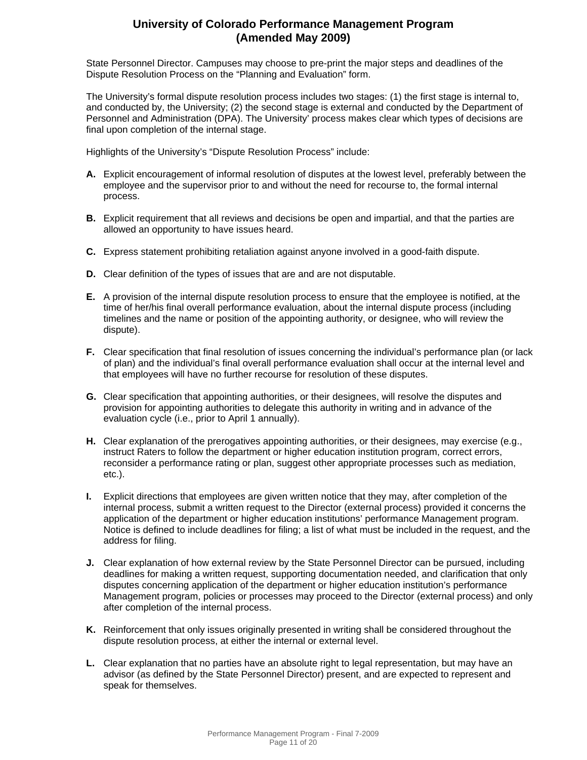State Personnel Director. Campuses may choose to pre-print the major steps and deadlines of the Dispute Resolution Process on the "Planning and Evaluation" form.

The University's formal dispute resolution process includes two stages: (1) the first stage is internal to, and conducted by, the University; (2) the second stage is external and conducted by the Department of Personnel and Administration (DPA). The University' process makes clear which types of decisions are final upon completion of the internal stage.

Highlights of the University's "Dispute Resolution Process" include:

- **A.** Explicit encouragement of informal resolution of disputes at the lowest level, preferably between the employee and the supervisor prior to and without the need for recourse to, the formal internal process.
- **B.** Explicit requirement that all reviews and decisions be open and impartial, and that the parties are allowed an opportunity to have issues heard.
- **C.** Express statement prohibiting retaliation against anyone involved in a good-faith dispute.
- **D.** Clear definition of the types of issues that are and are not disputable.
- **E.** A provision of the internal dispute resolution process to ensure that the employee is notified, at the time of her/his final overall performance evaluation, about the internal dispute process (including timelines and the name or position of the appointing authority, or designee, who will review the dispute).
- **F.** Clear specification that final resolution of issues concerning the individual's performance plan (or lack of plan) and the individual's final overall performance evaluation shall occur at the internal level and that employees will have no further recourse for resolution of these disputes.
- **G.** Clear specification that appointing authorities, or their designees, will resolve the disputes and provision for appointing authorities to delegate this authority in writing and in advance of the evaluation cycle (i.e., prior to April 1 annually).
- **H.** Clear explanation of the prerogatives appointing authorities, or their designees, may exercise (e.g., instruct Raters to follow the department or higher education institution program, correct errors, reconsider a performance rating or plan, suggest other appropriate processes such as mediation, etc.).
- **I.** Explicit directions that employees are given written notice that they may, after completion of the internal process, submit a written request to the Director (external process) provided it concerns the application of the department or higher education institutions' performance Management program. Notice is defined to include deadlines for filing; a list of what must be included in the request, and the address for filing.
- **J.** Clear explanation of how external review by the State Personnel Director can be pursued, including deadlines for making a written request, supporting documentation needed, and clarification that only disputes concerning application of the department or higher education institution's performance Management program, policies or processes may proceed to the Director (external process) and only after completion of the internal process.
- **K.** Reinforcement that only issues originally presented in writing shall be considered throughout the dispute resolution process, at either the internal or external level.
- **L.** Clear explanation that no parties have an absolute right to legal representation, but may have an advisor (as defined by the State Personnel Director) present, and are expected to represent and speak for themselves.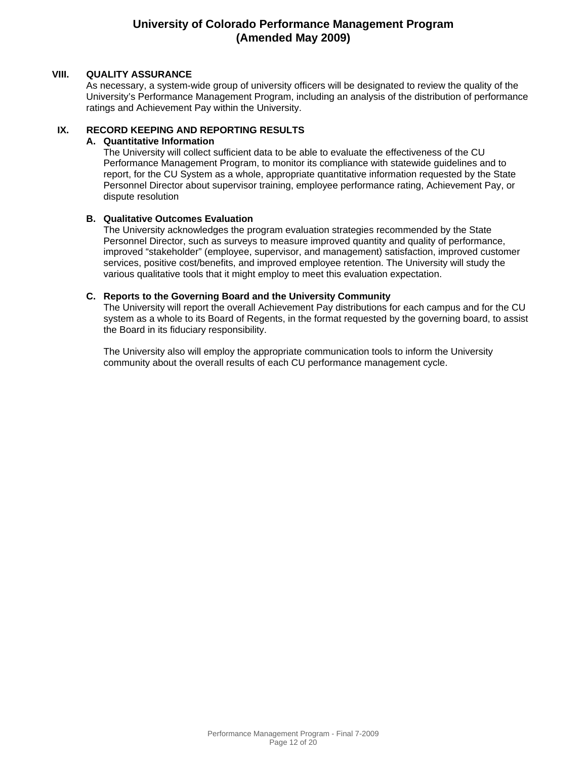#### **VIII. QUALITY ASSURANCE**

As necessary, a system-wide group of university officers will be designated to review the quality of the University's Performance Management Program, including an analysis of the distribution of performance ratings and Achievement Pay within the University.

#### **IX. RECORD KEEPING AND REPORTING RESULTS**

#### **A. Quantitative Information**

The University will collect sufficient data to be able to evaluate the effectiveness of the CU Performance Management Program, to monitor its compliance with statewide guidelines and to report, for the CU System as a whole, appropriate quantitative information requested by the State Personnel Director about supervisor training, employee performance rating, Achievement Pay, or dispute resolution

#### **B. Qualitative Outcomes Evaluation**

The University acknowledges the program evaluation strategies recommended by the State Personnel Director, such as surveys to measure improved quantity and quality of performance, improved "stakeholder" (employee, supervisor, and management) satisfaction, improved customer services, positive cost/benefits, and improved employee retention. The University will study the various qualitative tools that it might employ to meet this evaluation expectation.

#### **C. Reports to the Governing Board and the University Community**

The University will report the overall Achievement Pay distributions for each campus and for the CU system as a whole to its Board of Regents, in the format requested by the governing board, to assist the Board in its fiduciary responsibility.

The University also will employ the appropriate communication tools to inform the University community about the overall results of each CU performance management cycle.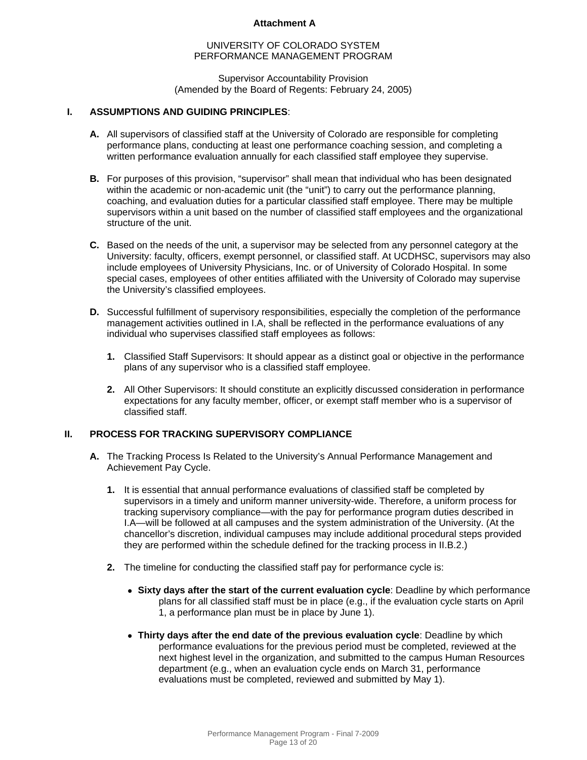#### UNIVERSITY OF COLORADO SYSTEM PERFORMANCE MANAGEMENT PROGRAM

#### Supervisor Accountability Provision (Amended by the Board of Regents: February 24, 2005)

#### **I. ASSUMPTIONS AND GUIDING PRINCIPLES**:

- **A.** All supervisors of classified staff at the University of Colorado are responsible for completing performance plans, conducting at least one performance coaching session, and completing a written performance evaluation annually for each classified staff employee they supervise.
- **B.** For purposes of this provision, "supervisor" shall mean that individual who has been designated within the academic or non-academic unit (the "unit") to carry out the performance planning, coaching, and evaluation duties for a particular classified staff employee. There may be multiple supervisors within a unit based on the number of classified staff employees and the organizational structure of the unit.
- **C.** Based on the needs of the unit, a supervisor may be selected from any personnel category at the University: faculty, officers, exempt personnel, or classified staff. At UCDHSC, supervisors may also include employees of University Physicians, Inc. or of University of Colorado Hospital. In some special cases, employees of other entities affiliated with the University of Colorado may supervise the University's classified employees.
- **D.** Successful fulfillment of supervisory responsibilities, especially the completion of the performance management activities outlined in I.A, shall be reflected in the performance evaluations of any individual who supervises classified staff employees as follows:
	- **1.** Classified Staff Supervisors: It should appear as a distinct goal or objective in the performance plans of any supervisor who is a classified staff employee.
	- **2.** All Other Supervisors: It should constitute an explicitly discussed consideration in performance expectations for any faculty member, officer, or exempt staff member who is a supervisor of classified staff.

#### **II. PROCESS FOR TRACKING SUPERVISORY COMPLIANCE**

- **A.** The Tracking Process Is Related to the University's Annual Performance Management and Achievement Pay Cycle.
	- **1.** It is essential that annual performance evaluations of classified staff be completed by supervisors in a timely and uniform manner university-wide. Therefore, a uniform process for tracking supervisory compliance—with the pay for performance program duties described in I.A—will be followed at all campuses and the system administration of the University. (At the chancellor's discretion, individual campuses may include additional procedural steps provided they are performed within the schedule defined for the tracking process in II.B.2.)
	- **2.** The timeline for conducting the classified staff pay for performance cycle is:
		- • **Sixty days after the start of the current evaluation cycle**: Deadline by which performance plans for all classified staff must be in place (e.g., if the evaluation cycle starts on April 1, a performance plan must be in place by June 1).
		- • **Thirty days after the end date of the previous evaluation cycle**: Deadline by which performance evaluations for the previous period must be completed, reviewed at the next highest level in the organization, and submitted to the campus Human Resources department (e.g., when an evaluation cycle ends on March 31, performance evaluations must be completed, reviewed and submitted by May 1).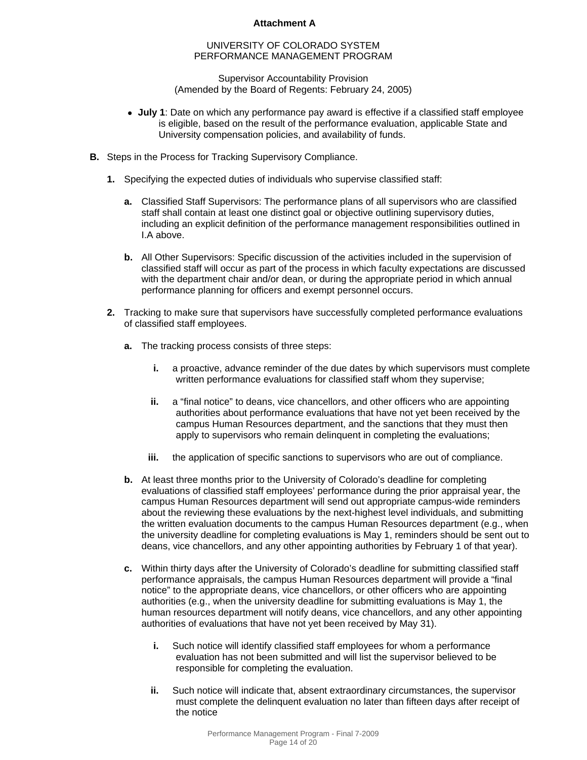#### UNIVERSITY OF COLORADO SYSTEM PERFORMANCE MANAGEMENT PROGRAM

Supervisor Accountability Provision (Amended by the Board of Regents: February 24, 2005)

- • **July 1**: Date on which any performance pay award is effective if a classified staff employee is eligible, based on the result of the performance evaluation, applicable State and University compensation policies, and availability of funds.
- **B.** Steps in the Process for Tracking Supervisory Compliance.
	- **1.** Specifying the expected duties of individuals who supervise classified staff:
		- **a.** Classified Staff Supervisors: The performance plans of all supervisors who are classified staff shall contain at least one distinct goal or objective outlining supervisory duties, including an explicit definition of the performance management responsibilities outlined in I.A above.
		- **b.** All Other Supervisors: Specific discussion of the activities included in the supervision of classified staff will occur as part of the process in which faculty expectations are discussed with the department chair and/or dean, or during the appropriate period in which annual performance planning for officers and exempt personnel occurs.
	- **2.** Tracking to make sure that supervisors have successfully completed performance evaluations of classified staff employees.
		- **a.** The tracking process consists of three steps:
			- **i.** a proactive, advance reminder of the due dates by which supervisors must complete written performance evaluations for classified staff whom they supervise;
			- **ii.** a "final notice" to deans, vice chancellors, and other officers who are appointing authorities about performance evaluations that have not yet been received by the campus Human Resources department, and the sanctions that they must then apply to supervisors who remain delinquent in completing the evaluations;
			- **iii.** the application of specific sanctions to supervisors who are out of compliance.
		- **b.** At least three months prior to the University of Colorado's deadline for completing evaluations of classified staff employees' performance during the prior appraisal year, the campus Human Resources department will send out appropriate campus-wide reminders about the reviewing these evaluations by the next-highest level individuals, and submitting the written evaluation documents to the campus Human Resources department (e.g., when the university deadline for completing evaluations is May 1, reminders should be sent out to deans, vice chancellors, and any other appointing authorities by February 1 of that year).
		- **c.** Within thirty days after the University of Colorado's deadline for submitting classified staff performance appraisals, the campus Human Resources department will provide a "final notice" to the appropriate deans, vice chancellors, or other officers who are appointing authorities (e.g., when the university deadline for submitting evaluations is May 1, the human resources department will notify deans, vice chancellors, and any other appointing authorities of evaluations that have not yet been received by May 31).
			- **i.** Such notice will identify classified staff employees for whom a performance evaluation has not been submitted and will list the supervisor believed to be responsible for completing the evaluation.
			- **ii.** Such notice will indicate that, absent extraordinary circumstances, the supervisor must complete the delinquent evaluation no later than fifteen days after receipt of the notice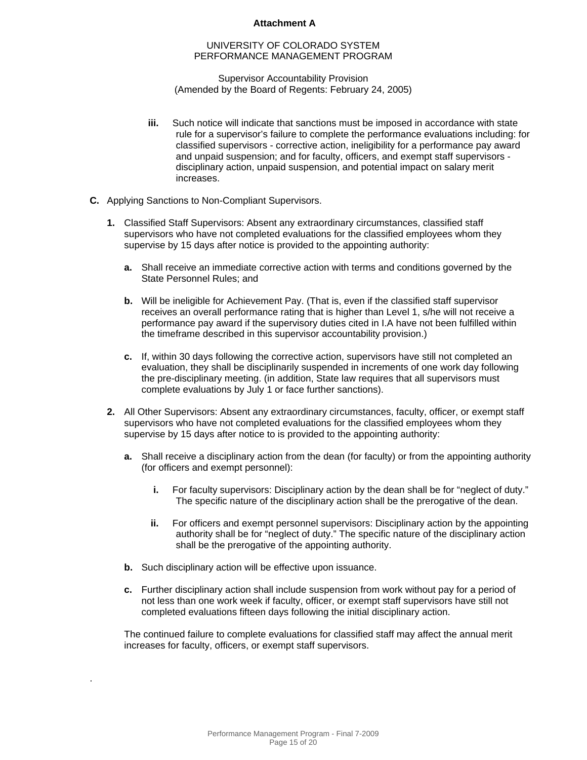#### UNIVERSITY OF COLORADO SYSTEM PERFORMANCE MANAGEMENT PROGRAM

Supervisor Accountability Provision (Amended by the Board of Regents: February 24, 2005)

- **iii.** Such notice will indicate that sanctions must be imposed in accordance with state rule for a supervisor's failure to complete the performance evaluations including: for classified supervisors - corrective action, ineligibility for a performance pay award and unpaid suspension; and for faculty, officers, and exempt staff supervisors disciplinary action, unpaid suspension, and potential impact on salary merit increases.
- **C.** Applying Sanctions to Non-Compliant Supervisors.
	- **1.** Classified Staff Supervisors: Absent any extraordinary circumstances, classified staff supervisors who have not completed evaluations for the classified employees whom they supervise by 15 days after notice is provided to the appointing authority:
		- **a.** Shall receive an immediate corrective action with terms and conditions governed by the State Personnel Rules; and
		- **b.** Will be ineligible for Achievement Pay. (That is, even if the classified staff supervisor receives an overall performance rating that is higher than Level 1, s/he will not receive a performance pay award if the supervisory duties cited in I.A have not been fulfilled within the timeframe described in this supervisor accountability provision.)
		- **c.** If, within 30 days following the corrective action, supervisors have still not completed an evaluation, they shall be disciplinarily suspended in increments of one work day following the pre-disciplinary meeting. (in addition, State law requires that all supervisors must complete evaluations by July 1 or face further sanctions).
	- **2.** All Other Supervisors: Absent any extraordinary circumstances, faculty, officer, or exempt staff supervisors who have not completed evaluations for the classified employees whom they supervise by 15 days after notice to is provided to the appointing authority:
		- **a.** Shall receive a disciplinary action from the dean (for faculty) or from the appointing authority (for officers and exempt personnel):
			- **i.** For faculty supervisors: Disciplinary action by the dean shall be for "neglect of duty." The specific nature of the disciplinary action shall be the prerogative of the dean.
			- **ii.** For officers and exempt personnel supervisors: Disciplinary action by the appointing authority shall be for "neglect of duty." The specific nature of the disciplinary action shall be the prerogative of the appointing authority.
		- **b.** Such disciplinary action will be effective upon issuance.

.

**c.** Further disciplinary action shall include suspension from work without pay for a period of not less than one work week if faculty, officer, or exempt staff supervisors have still not completed evaluations fifteen days following the initial disciplinary action.

The continued failure to complete evaluations for classified staff may affect the annual merit increases for faculty, officers, or exempt staff supervisors.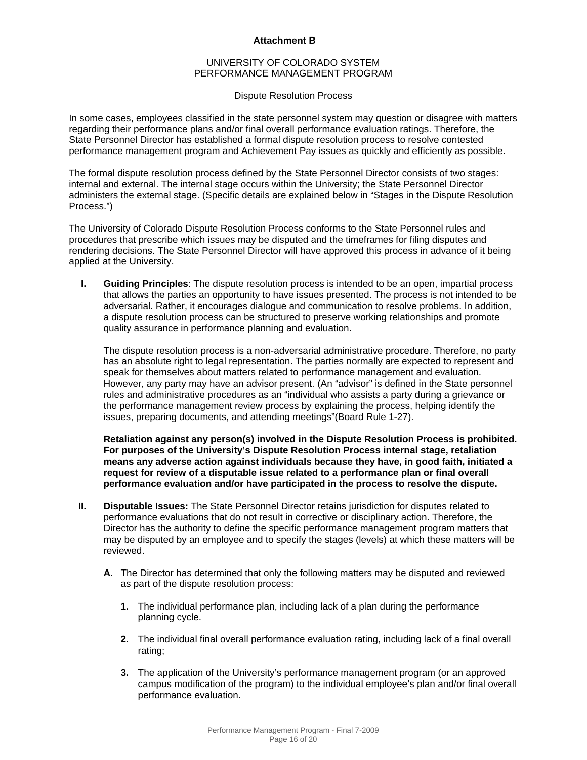#### UNIVERSITY OF COLORADO SYSTEM PERFORMANCE MANAGEMENT PROGRAM

#### Dispute Resolution Process

In some cases, employees classified in the state personnel system may question or disagree with matters regarding their performance plans and/or final overall performance evaluation ratings. Therefore, the State Personnel Director has established a formal dispute resolution process to resolve contested performance management program and Achievement Pay issues as quickly and efficiently as possible.

The formal dispute resolution process defined by the State Personnel Director consists of two stages: internal and external. The internal stage occurs within the University; the State Personnel Director administers the external stage. (Specific details are explained below in "Stages in the Dispute Resolution Process.")

The University of Colorado Dispute Resolution Process conforms to the State Personnel rules and procedures that prescribe which issues may be disputed and the timeframes for filing disputes and rendering decisions. The State Personnel Director will have approved this process in advance of it being applied at the University.

**I. Guiding Principles**: The dispute resolution process is intended to be an open, impartial process that allows the parties an opportunity to have issues presented. The process is not intended to be adversarial. Rather, it encourages dialogue and communication to resolve problems. In addition, a dispute resolution process can be structured to preserve working relationships and promote quality assurance in performance planning and evaluation.

The dispute resolution process is a non-adversarial administrative procedure. Therefore, no party has an absolute right to legal representation. The parties normally are expected to represent and speak for themselves about matters related to performance management and evaluation. However, any party may have an advisor present. (An "advisor" is defined in the State personnel rules and administrative procedures as an "individual who assists a party during a grievance or the performance management review process by explaining the process, helping identify the issues, preparing documents, and attending meetings"(Board Rule 1-27).

**Retaliation against any person(s) involved in the Dispute Resolution Process is prohibited. For purposes of the University's Dispute Resolution Process internal stage, retaliation means any adverse action against individuals because they have, in good faith, initiated a request for review of a disputable issue related to a performance plan or final overall performance evaluation and/or have participated in the process to resolve the dispute.** 

- **II. Disputable Issues:** The State Personnel Director retains jurisdiction for disputes related to performance evaluations that do not result in corrective or disciplinary action. Therefore, the Director has the authority to define the specific performance management program matters that may be disputed by an employee and to specify the stages (levels) at which these matters will be reviewed.
	- **A.** The Director has determined that only the following matters may be disputed and reviewed as part of the dispute resolution process:
		- **1.** The individual performance plan, including lack of a plan during the performance planning cycle.
		- **2.** The individual final overall performance evaluation rating, including lack of a final overall rating;
		- **3.** The application of the University's performance management program (or an approved campus modification of the program) to the individual employee's plan and/or final overall performance evaluation.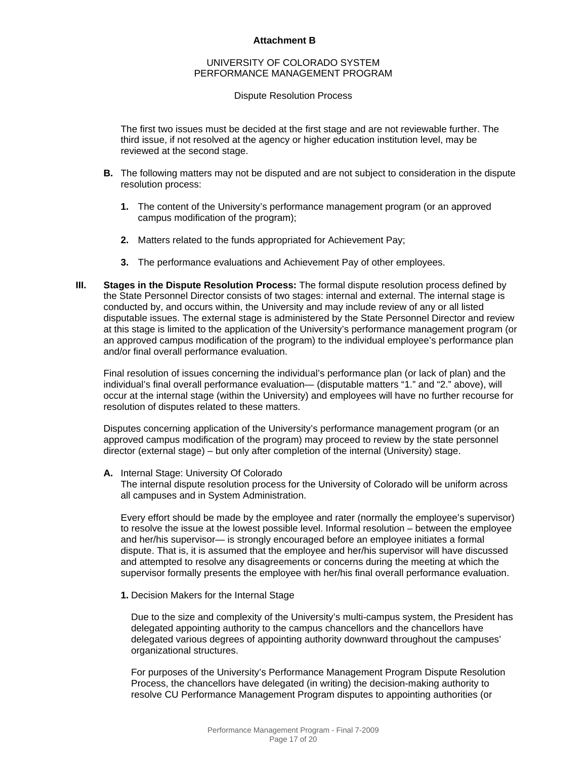#### UNIVERSITY OF COLORADO SYSTEM PERFORMANCE MANAGEMENT PROGRAM

#### Dispute Resolution Process

The first two issues must be decided at the first stage and are not reviewable further. The third issue, if not resolved at the agency or higher education institution level, may be reviewed at the second stage.

- **B.** The following matters may not be disputed and are not subject to consideration in the dispute resolution process:
	- **1.** The content of the University's performance management program (or an approved campus modification of the program);
	- **2.** Matters related to the funds appropriated for Achievement Pay;
	- **3.** The performance evaluations and Achievement Pay of other employees.
- **III. Stages in the Dispute Resolution Process:** The formal dispute resolution process defined by the State Personnel Director consists of two stages: internal and external. The internal stage is conducted by, and occurs within, the University and may include review of any or all listed disputable issues. The external stage is administered by the State Personnel Director and review at this stage is limited to the application of the University's performance management program (or an approved campus modification of the program) to the individual employee's performance plan and/or final overall performance evaluation.

Final resolution of issues concerning the individual's performance plan (or lack of plan) and the individual's final overall performance evaluation— (disputable matters "1." and "2." above), will occur at the internal stage (within the University) and employees will have no further recourse for resolution of disputes related to these matters.

Disputes concerning application of the University's performance management program (or an approved campus modification of the program) may proceed to review by the state personnel director (external stage) – but only after completion of the internal (University) stage.

#### **A.** Internal Stage: University Of Colorado

The internal dispute resolution process for the University of Colorado will be uniform across all campuses and in System Administration.

Every effort should be made by the employee and rater (normally the employee's supervisor) to resolve the issue at the lowest possible level. Informal resolution – between the employee and her/his supervisor— is strongly encouraged before an employee initiates a formal dispute. That is, it is assumed that the employee and her/his supervisor will have discussed and attempted to resolve any disagreements or concerns during the meeting at which the supervisor formally presents the employee with her/his final overall performance evaluation.

**1.** Decision Makers for the Internal Stage

Due to the size and complexity of the University's multi-campus system, the President has delegated appointing authority to the campus chancellors and the chancellors have delegated various degrees of appointing authority downward throughout the campuses' organizational structures.

For purposes of the University's Performance Management Program Dispute Resolution Process, the chancellors have delegated (in writing) the decision-making authority to resolve CU Performance Management Program disputes to appointing authorities (or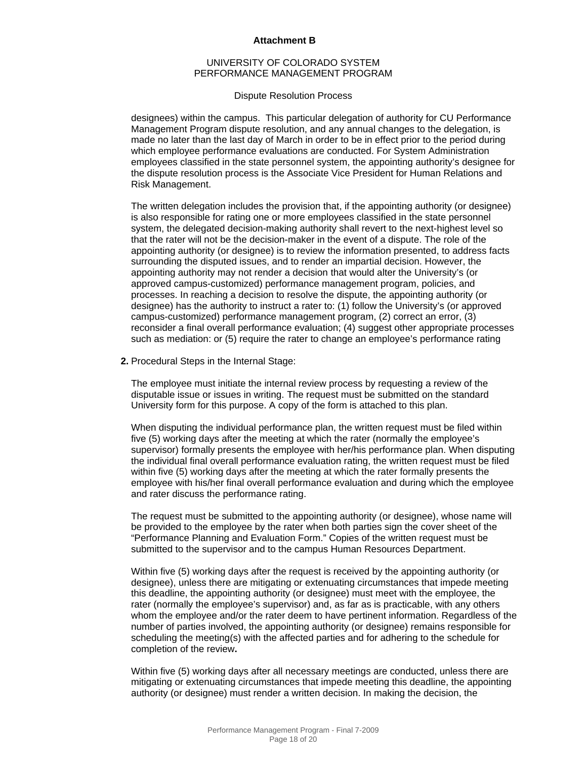#### UNIVERSITY OF COLORADO SYSTEM PERFORMANCE MANAGEMENT PROGRAM

#### Dispute Resolution Process

designees) within the campus. This particular delegation of authority for CU Performance Management Program dispute resolution, and any annual changes to the delegation, is made no later than the last day of March in order to be in effect prior to the period during which employee performance evaluations are conducted. For System Administration employees classified in the state personnel system, the appointing authority's designee for the dispute resolution process is the Associate Vice President for Human Relations and Risk Management.

The written delegation includes the provision that, if the appointing authority (or designee) is also responsible for rating one or more employees classified in the state personnel system, the delegated decision-making authority shall revert to the next-highest level so that the rater will not be the decision-maker in the event of a dispute. The role of the appointing authority (or designee) is to review the information presented, to address facts surrounding the disputed issues, and to render an impartial decision. However, the appointing authority may not render a decision that would alter the University's (or approved campus-customized) performance management program, policies, and processes. In reaching a decision to resolve the dispute, the appointing authority (or designee) has the authority to instruct a rater to: (1) follow the University's (or approved campus-customized) performance management program, (2) correct an error, (3) reconsider a final overall performance evaluation; (4) suggest other appropriate processes such as mediation: or (5) require the rater to change an employee's performance rating

**2.** Procedural Steps in the Internal Stage:

The employee must initiate the internal review process by requesting a review of the disputable issue or issues in writing. The request must be submitted on the standard University form for this purpose. A copy of the form is attached to this plan.

When disputing the individual performance plan, the written request must be filed within five (5) working days after the meeting at which the rater (normally the employee's supervisor) formally presents the employee with her/his performance plan. When disputing the individual final overall performance evaluation rating, the written request must be filed within five (5) working days after the meeting at which the rater formally presents the employee with his/her final overall performance evaluation and during which the employee and rater discuss the performance rating.

The request must be submitted to the appointing authority (or designee), whose name will be provided to the employee by the rater when both parties sign the cover sheet of the "Performance Planning and Evaluation Form." Copies of the written request must be submitted to the supervisor and to the campus Human Resources Department.

Within five (5) working days after the request is received by the appointing authority (or designee), unless there are mitigating or extenuating circumstances that impede meeting this deadline, the appointing authority (or designee) must meet with the employee, the rater (normally the employee's supervisor) and, as far as is practicable, with any others whom the employee and/or the rater deem to have pertinent information. Regardless of the number of parties involved, the appointing authority (or designee) remains responsible for scheduling the meeting(s) with the affected parties and for adhering to the schedule for completion of the review**.** 

Within five (5) working days after all necessary meetings are conducted, unless there are mitigating or extenuating circumstances that impede meeting this deadline, the appointing authority (or designee) must render a written decision. In making the decision, the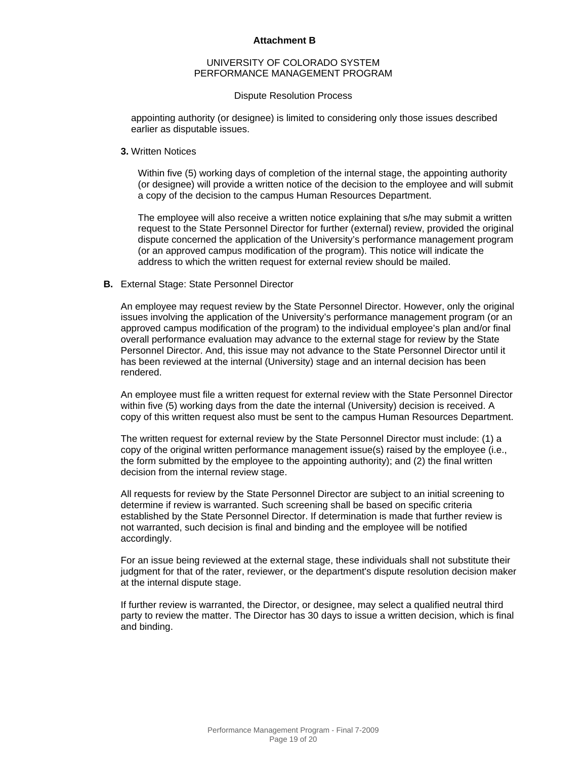#### UNIVERSITY OF COLORADO SYSTEM PERFORMANCE MANAGEMENT PROGRAM

#### Dispute Resolution Process

appointing authority (or designee) is limited to considering only those issues described earlier as disputable issues.

#### **3.** Written Notices

Within five (5) working days of completion of the internal stage, the appointing authority (or designee) will provide a written notice of the decision to the employee and will submit a copy of the decision to the campus Human Resources Department.

The employee will also receive a written notice explaining that s/he may submit a written request to the State Personnel Director for further (external) review, provided the original dispute concerned the application of the University's performance management program (or an approved campus modification of the program). This notice will indicate the address to which the written request for external review should be mailed.

#### **B.** External Stage: State Personnel Director

An employee may request review by the State Personnel Director. However, only the original issues involving the application of the University's performance management program (or an approved campus modification of the program) to the individual employee's plan and/or final overall performance evaluation may advance to the external stage for review by the State Personnel Director. And, this issue may not advance to the State Personnel Director until it has been reviewed at the internal (University) stage and an internal decision has been rendered.

An employee must file a written request for external review with the State Personnel Director within five (5) working days from the date the internal (University) decision is received. A copy of this written request also must be sent to the campus Human Resources Department.

The written request for external review by the State Personnel Director must include: (1) a copy of the original written performance management issue(s) raised by the employee (i.e., the form submitted by the employee to the appointing authority); and (2) the final written decision from the internal review stage.

All requests for review by the State Personnel Director are subject to an initial screening to determine if review is warranted. Such screening shall be based on specific criteria established by the State Personnel Director. If determination is made that further review is not warranted, such decision is final and binding and the employee will be notified accordingly.

For an issue being reviewed at the external stage, these individuals shall not substitute their judgment for that of the rater, reviewer, or the department's dispute resolution decision maker at the internal dispute stage.

If further review is warranted, the Director, or designee, may select a qualified neutral third party to review the matter. The Director has 30 days to issue a written decision, which is final and binding.